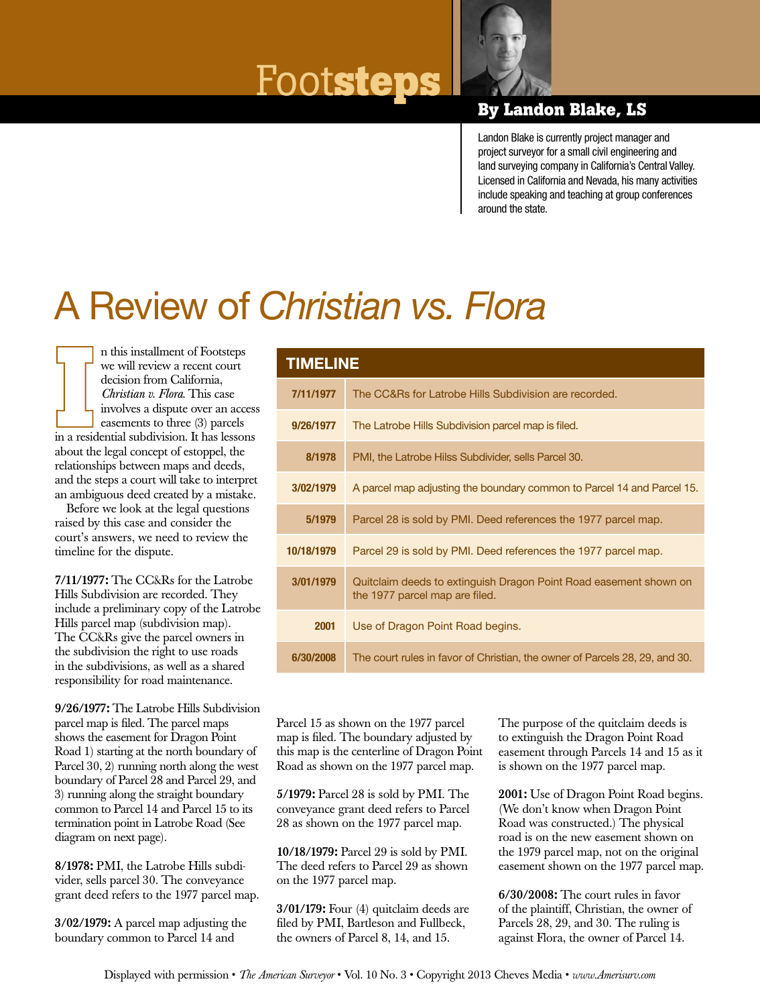# $\frac{1}{2}$  **FOOTS LEDS**



Landon Blake is currently project manager and project surveyor for a small civil engineering and land surveying company in California's Central Valley. Licensed in California and Nevada, his many activities include speaking and teaching at group conferences around the state.

## A Review of *Christian vs. Flora*

n this installment of Footsteps we will review a recent court decision from California, *Christian v. Flora*. This case involves a dispute over an access easements to three (3) parcels in a residential subdivision. It has lessons about the legal concept of estoppel, the relationships between maps and deeds, and the steps a court will take to interpret an ambiguous deed created by a mistake.

Before we look at the legal questions raised by this case and consider the court's answers, we need to review the timeline for the dispute.

7/11/1977: The CC&Rs for the Latrobe Hills Subdivision are recorded. They include a preliminary copy of the Latrobe Hills parcel map (subdivision map). The CC&Rs give the parcel owners in the subdivision the right to use roads in the subdivisions, as well as a shared responsibility for road maintenance.

9/26/1977: The Latrobe Hills Subdivision parcel map is filed. The parcel maps shows the easement for Dragon Point Road 1) starting at the north boundary of Parcel 30, 2) running north along the west boundary of Parcel 28 and Parcel 29, and 3) running along the straight boundary common to Parcel 14 and Parcel 15 to its termination point in Latrobe Road (See diagram on next page).

8/1978: PMI, the Latrobe Hills subdivider, sells parcel 30. The conveyance grant deed refers to the 1977 parcel map.

3/02/1979: A parcel map adjusting the boundary common to Parcel 14 and

| <b>TIMELINE</b> |                                                                                                     |
|-----------------|-----------------------------------------------------------------------------------------------------|
| 7/11/1977       | The CC&Rs for Latrobe Hills Subdivision are recorded.                                               |
| 9/26/1977       | The Latrobe Hills Subdivision parcel map is filed.                                                  |
| 8/1978          | PMI, the Latrobe Hilss Subdivider, sells Parcel 30.                                                 |
| 3/02/1979       | A parcel map adjusting the boundary common to Parcel 14 and Parcel 15.                              |
| 5/1979          | Parcel 28 is sold by PMI. Deed references the 1977 parcel map.                                      |
| 10/18/1979      | Parcel 29 is sold by PMI. Deed references the 1977 parcel map.                                      |
| 3/01/1979       | Quitclaim deeds to extinguish Dragon Point Road easement shown on<br>the 1977 parcel map are filed. |
| 2001            | Use of Dragon Point Road begins.                                                                    |
| 6/30/2008       | The court rules in favor of Christian, the owner of Parcels 28, 29, and 30.                         |

Parcel 15 as shown on the 1977 parcel map is filed. The boundary adjusted by this map is the centerline of Dragon Point Road as shown on the 1977 parcel map.

5/1979: Parcel 28 is sold by PMI. The conveyance grant deed refers to Parcel 28 as shown on the 1977 parcel map.

10/18/1979: Parcel 29 is sold by PMI. The deed refers to Parcel 29 as shown on the 1977 parcel map.

3/01/179: Four (4) quitclaim deeds are filed by PMI, Bartleson and Fullbeck, the owners of Parcel 8, 14, and 15.

The purpose of the quitclaim deeds is to extinguish the Dragon Point Road easement through Parcels 14 and 15 as it is shown on the 1977 parcel map.

2001: Use of Dragon Point Road begins. (We don't know when Dragon Point Road was constructed.) The physical road is on the new easement shown on the 1979 parcel map, not on the original easement shown on the 1977 parcel map.

6/30/2008: The court rules in favor of the plaintiff, Christian, the owner of Parcels 28, 29, and 30. The ruling is against Flora, the owner of Parcel 14.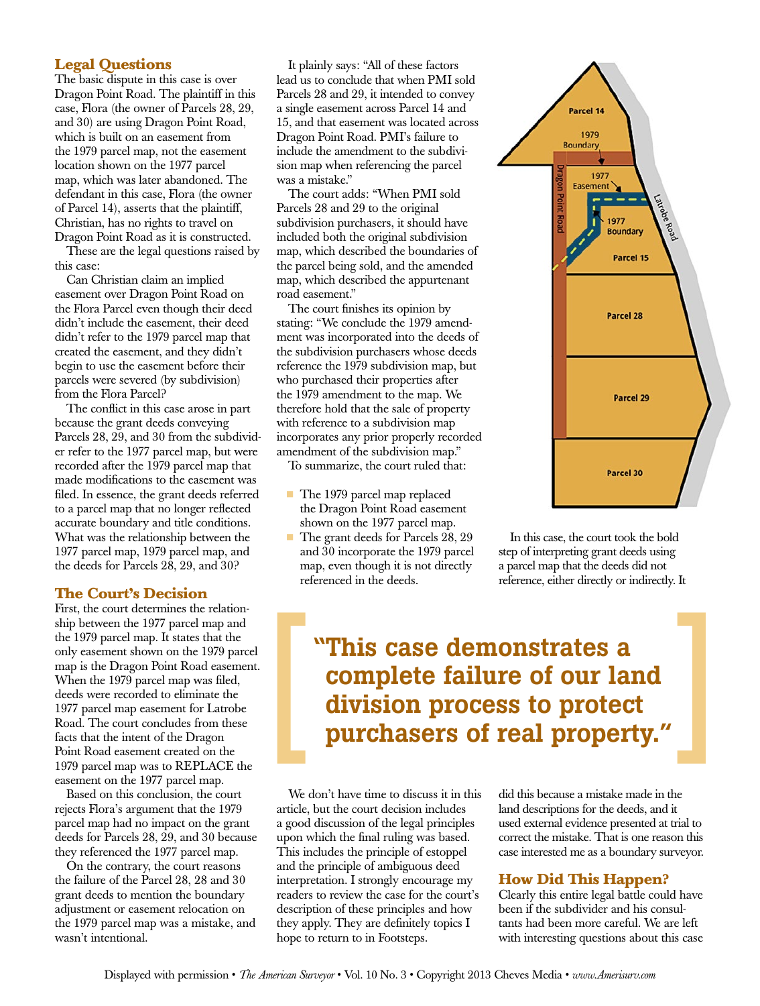#### **Legal Questions**

The basic dispute in this case is over Dragon Point Road. The plaintiff in this case, Flora (the owner of Parcels 28, 29, and 30) are using Dragon Point Road, which is built on an easement from the 1979 parcel map, not the easement location shown on the 1977 parcel map, which was later abandoned. The defendant in this case, Flora (the owner of Parcel 14), asserts that the plaintiff, Christian, has no rights to travel on Dragon Point Road as it is constructed.

These are the legal questions raised by this case:

Can Christian claim an implied easement over Dragon Point Road on the Flora Parcel even though their deed didn't include the easement, their deed didn't refer to the 1979 parcel map that created the easement, and they didn't begin to use the easement before their parcels were severed (by subdivision) from the Flora Parcel?

The conflict in this case arose in part because the grant deeds conveying Parcels 28, 29, and 30 from the subdivider refer to the 1977 parcel map, but were recorded after the 1979 parcel map that made modifications to the easement was filed. In essence, the grant deeds referred to a parcel map that no longer reflected accurate boundary and title conditions. What was the relationship between the 1977 parcel map, 1979 parcel map, and the deeds for Parcels 28, 29, and 30?

#### **The Court's Decision**

First, the court determines the relationship between the 1977 parcel map and the 1979 parcel map. It states that the only easement shown on the 1979 parcel map is the Dragon Point Road easement. When the 1979 parcel map was filed, deeds were recorded to eliminate the 1977 parcel map easement for Latrobe Road. The court concludes from these facts that the intent of the Dragon Point Road easement created on the 1979 parcel map was to REPLACE the easement on the 1977 parcel map.

Based on this conclusion, the court rejects Flora's argument that the 1979 parcel map had no impact on the grant deeds for Parcels 28, 29, and 30 because they referenced the 1977 parcel map.

On the contrary, the court reasons the failure of the Parcel 28, 28 and 30 grant deeds to mention the boundary adjustment or easement relocation on the 1979 parcel map was a mistake, and wasn't intentional.

It plainly says: "All of these factors lead us to conclude that when PMI sold Parcels 28 and 29, it intended to convey a single easement across Parcel 14 and 15, and that easement was located across Dragon Point Road. PMI's failure to include the amendment to the subdivision map when referencing the parcel was a mistake."

The court adds: "When PMI sold Parcels 28 and 29 to the original subdivision purchasers, it should have included both the original subdivision map, which described the boundaries of the parcel being sold, and the amended map, which described the appurtenant road easement."

The court finishes its opinion by stating: "We conclude the 1979 amendment was incorporated into the deeds of the subdivision purchasers whose deeds reference the 1979 subdivision map, but who purchased their properties after the 1979 amendment to the map. We therefore hold that the sale of property with reference to a subdivision map incorporates any prior properly recorded amendment of the subdivision map."

To summarize, the court ruled that:

- The 1979 parcel map replaced the Dragon Point Road easement shown on the 1977 parcel map.
- The grant deeds for Parcels 28, 29 and 30 incorporate the 1979 parcel map, even though it is not directly referenced in the deeds.



In this case, the court took the bold step of interpreting grant deeds using a parcel map that the deeds did not reference, either directly or indirectly. It

### "This case demonstrates a complete failure of our land division process to protect purchasers of real property."

We don't have time to discuss it in this article, but the court decision includes a good discussion of the legal principles upon which the final ruling was based. This includes the principle of estoppel and the principle of ambiguous deed interpretation. I strongly encourage my readers to review the case for the court's description of these principles and how they apply. They are definitely topics I hope to return to in Footsteps.

did this because a mistake made in the land descriptions for the deeds, and it used external evidence presented at trial to correct the mistake. That is one reason this case interested me as a boundary surveyor.

#### **How Did This Happen?**

Clearly this entire legal battle could have been if the subdivider and his consultants had been more careful. We are left with interesting questions about this case